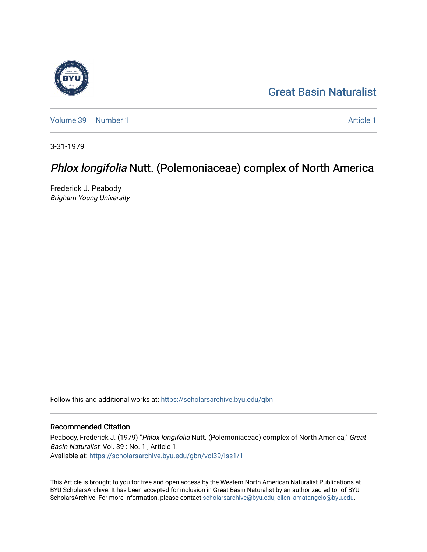## [Great Basin Naturalist](https://scholarsarchive.byu.edu/gbn)

[Volume 39](https://scholarsarchive.byu.edu/gbn/vol39) [Number 1](https://scholarsarchive.byu.edu/gbn/vol39/iss1) [Article 1](https://scholarsarchive.byu.edu/gbn/vol39/iss1/1) Article 1 Article 1 Article 1 Article 1 Article 1 Article 1

3-31-1979

## Phlox longifolia Nutt. (Polemoniaceae) complex of North America

Frederick J. Peabody Brigham Young University

Follow this and additional works at: [https://scholarsarchive.byu.edu/gbn](https://scholarsarchive.byu.edu/gbn?utm_source=scholarsarchive.byu.edu%2Fgbn%2Fvol39%2Fiss1%2F1&utm_medium=PDF&utm_campaign=PDFCoverPages) 

### Recommended Citation

Peabody, Frederick J. (1979) "Phlox longifolia Nutt. (Polemoniaceae) complex of North America," Great Basin Naturalist: Vol. 39 : No. 1 , Article 1. Available at: [https://scholarsarchive.byu.edu/gbn/vol39/iss1/1](https://scholarsarchive.byu.edu/gbn/vol39/iss1/1?utm_source=scholarsarchive.byu.edu%2Fgbn%2Fvol39%2Fiss1%2F1&utm_medium=PDF&utm_campaign=PDFCoverPages)

This Article is brought to you for free and open access by the Western North American Naturalist Publications at BYU ScholarsArchive. It has been accepted for inclusion in Great Basin Naturalist by an authorized editor of BYU ScholarsArchive. For more information, please contact [scholarsarchive@byu.edu, ellen\\_amatangelo@byu.edu.](mailto:scholarsarchive@byu.edu,%20ellen_amatangelo@byu.edu)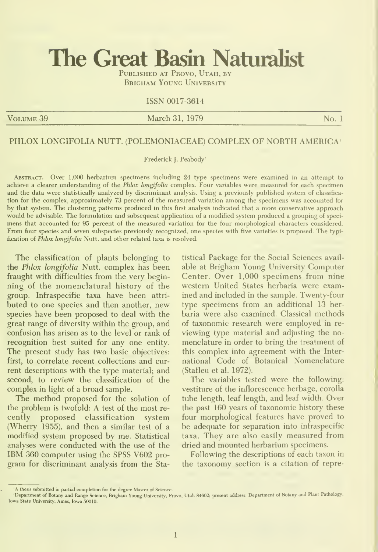# The Great Basin Naturalist

PUBLISHED AT PROVO, UTAH, BY **BRIGHAM YOUNG UNIVERSITY** 

#### ISSN 0017-3614

VOLUME 39 No. 1 No. 1 No. 1 No. 1 No. 1 No. 1 No. 1 No. 1 No. 1

#### PHLOX LONGIFOLIA NUTT. (POLEMONIACEAE) COMPLEX OF NORTH AMERICA'

Frederick J. Peabody<sup>2</sup>

ABSTRACT.— Over 1,000 herbarium specimens including 24 type specimens were examined in an attempt to achieve a clearer understanding of the Phlox longifolia complex. Four variables were measured for each specimen and the data were statistically analyzed by discriminant analysis. Using a previously published system of classifica tion for the complex, approximately 73 percent of the measured variation among the specimens was accounted for by that system. The clustering patterns produced in this first analysis indicated that a more conservative approach would be advisable. The formulation and subsequent application of a modified system produced a grouping of speci mens that accounted for 95 percent of the measured variation for the four morphological characters considered. From four species and seven subspecies previously recognized, one species with five varieties is proposed. The typi fication of Phlox longifolia Nutt. and other related taxa is resolved.

The classification of plants belonging to the Phlox longifolia Nutt. complex has been fraught with difficulties from the very beginning of the nomenclatural history of the group. Infraspecific taxa have been attri buted to one species and then another, new species have been proposed to deal with the great range of diversity within the group, and confusion has arisen as to the level or rank of recognition best suited for any one entity. The present study has two basic objectives: first, to correlate recent collections and current descriptions with the type material; and second, to review the classification of the complex in light of a broad sample.

The method proposed for the solution of the problem is twofold: A test of the most re cently proposed classification system (Wherry 1955), and then a similar test of a modified system proposed by me. Statistical analyses were conducted with the use of the IBM 360 computer using the SPSS V602 pro gram for discriminant analysis from the Statistical Package for the Social Sciences avail able at Brigham Young University Computer Center. Over 1,000 specimens from nine western United States herbaria were examined and included in the sample. Twenty-four type specimens from an additional 13 her baria were also examined. Classical methods of taxonomic research were employed in re viewing type material and adjusting the no menclature in order to bring the treatment of this complex into agreement with the Inter national Code of Botanical Nomenclature (Stafleu et al. 1972).

The variables tested were the following: vestiture of the inflorescence herbage, corolla tube length, leaf length, and leaf width. Over the past 160 years of taxonomic history these four morphological features have proved to be adequate for separation into infraspecific taxa. They are also easily measured from dried and mounted herbarium specimens.

Following the descriptions of each taxon in the taxonomy section is a citation of repre-

<sup>&#</sup>x27;A thesis submitted in partial completion for the degree Master of Science.

<sup>&#</sup>x27;Department of Botany and Range Science, Brigham Young University, Provo, Utah 84602; present address: Department of Botany and PUnt Pathology, Iowa State University, Ames, Iowa 50010.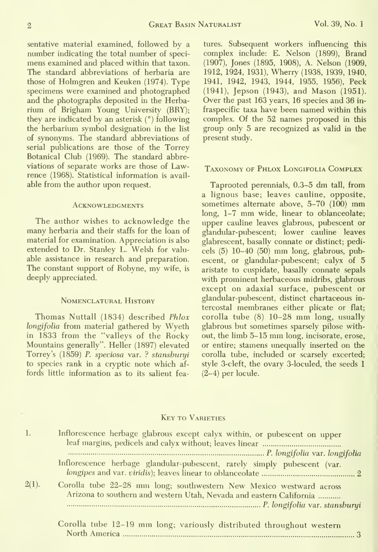sentative material examined, followed by a number indicating the total number of speci mens examined and placed within that taxon. The standard abbreviations of herbaria are those of Holmgren and Keuken (1974). Type specimens were examined and photographed and the photographs deposited in the Herbarium of Brigham Young University (BRY); they are indicated by an asterisk (°) following the herbarium symbol designation in the list of synonyms. The standard abbreviations of serial publications are those of the Torrey Botanical Club (1969). The standard abbreviations of separate works are those of Lawrence (1968). Statistical information is available from the author upon request.

#### **ACKNOWLEDGMENTS**

The author wishes to acknowledge the many herbaria and their staffs for the loan of material for examination. Appreciation is also extended to Dr. Stanley L. Welsh for valu able assistance in research and preparation. The constant support of Robyne, my wife, is deeply appreciated.

#### Nomenclatural History

Thomas Nuttall (1834) described Phlox longifolia from material gathered by Wyeth in 1833 from the "valleys of the Rocky Mountains generally". Heller (1897) elevated Torrey's (1859) P. speciosa var. ? stanshuryi to species rank in a cryptic note which af fords little information as to its salient fea-

tures. Subsequent workers influencing this complex include: E. Nelson (1899), Brand (1907), Jones (1895, 1908), A. Nelson (1909, 1912, 1924, 1931), Wherry (1938, 1939, 1940, 1941, 1942, 1943, 1944, 1955, 1956), Peck (1941), Jepson (1943), and Mason (1951). Over the past 163 years, 16 species and 36 in fraspecific taxa have been named within this complex. Of the 52 names proposed in this group only 5 are recognized as valid in the present study.

#### Taxonomy of Phlox Longifolia Complex

Taprooted perennials, 0.3-5 dm tall, from a lignous base; leaves cauline, opposite, sometimes alternate above, 5-70 (100) mm long, 1-7 mm wide, linear to oblanceolate; upper cauline leaves glabrous, pubescent or glandular-pubescent; lower cauline leaves glabrescent, basally connate or distinct; pedicels (5) 10-40 (50) mm long, glabrous, pubescent, or glandular-pubescent; calyx of 5 aristate to cuspidate, basally connate sepals with prominent herbaceous midribs, glabrous except on adaxial surface, pubescent or glandular-pubescent, distinct chartaceous in tercostal membranes either plicate or flat; corolla tube (8) 10-28 mm long, usually glabrous but sometimes sparsely pilose without, the limb 5-15 mm long, incisorate, erose, or entire; stamens imequally inserted on the corolla tube, included or scarsely excerted; style 3-cleft, the ovary 3-loculed, the seeds 1 (2-4) per locule.

#### Key to Varieties

| 1.       | Inflorescence herbage glabrous except calyx within, or pubescent on upper                                                                  |
|----------|--------------------------------------------------------------------------------------------------------------------------------------------|
|          | Inflorescence herbage glandular-pubescent, rarely simply pubescent (var.                                                                   |
| $2(1)$ . | Corolla tube 22-28 mm long; southwestern New Mexico westward across<br>Arizona to southern and western Utah, Nevada and eastern California |
|          | Corolla tube 12-19 mm long; variously distributed throughout western                                                                       |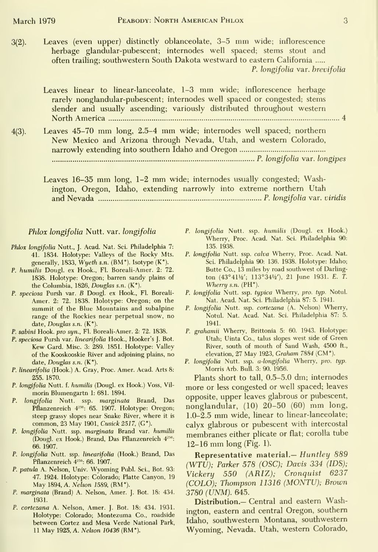$\mathcal{R}$ 

3(2). Leaves (even upper) distinctly oblanceolate, 3-5 mm wide; inflorescence herbage glandular-pubescent; internodes well spaced; stems stout and often trailing; southwestern South Dakota westward to eastern California P. longifolia var. brevifolia

Leaves linear to linear-lanceolate, 1-3 mm wide; inflorescence herbage rarely nonglandular-pubescent; internodes well spaced or congested; stems slender and usually ascending; variously distributed throughout western North America 4

4(3). Leaves 45-70 mm long, 2.5-4 mm wide; internodes well spaced; northern New Mexico and Arizona through Nevada, Utah, and western Colorado, narrowly extending into southern Idaho and Oregon P. longifolia var. longipes

Leaves 16-35 mm long, 1-2 mm wide; internodes usually congested; Washington, Oregon, Idaho, extending narrowly into extreme northern Utah

and Nevada P. longifolia var. viridis

#### Phlox longifolia Nutt. var. longifolia

- Phlox longifolia Nutt., J. Acad. Nat. Sci. Philadelphia 7: 41. 1834. Holotype: Valleys of the Rocky Mts. generally, 1833, Wyeth s.n. (BM°). Isotype (K").
- P. humilis Dougl. ex Hook., Fl. Boreali-Amer. 2: 72. 1838. Holotype: Oregon; barren sandy plains of the Columbia, 1826, Douglas s.n. (K").
- P. speciosa Pursh var. B Dougl. ex Hook., Fl. Boreali- Amer. 2: 72. 1838. Holotype: Oregon; on the summit of the Blue Mountains and subalpine range of the Rockies near perpetual snow, no date, Douglas s.n. (K°).
- P. sabini Hook, pro syn., Fl. Boreali-Amer. 2: 72. 1838.
- P. speciosa Pursh var. linearifolia Hook., Hooker's J. Bot. Kew Card. Misc. 3: 289. 1851. Holotype: Valley of the Kooskooskie River and adjoining plains, no date, Douglas s.n. (K°).
- P. linearifolia (Hook.) A. Gray, Proc. Amer. Acad. Arts 8: 255. 1870.
- P. longifolia Nutt. f. humilis (Dougl. ex Hook.) Voss, Vil morin Blumengartn 1: 681. 1894.
- P. longifolia Nutt. ssp. marginata Brand, Das Pflanzenreich 4<sup>250</sup>: 65. 1907. Holotype: Oregon; steep grassy slopes near Snake River, where it is common, 23 May 1901, Cusick 2517, (G°).
- P. longifolia Nutt. ssp. marginata Brand var. humilis (Dougl. ex Hook.) Brand, Das Pflanzenreich 4<sup>250</sup>: 66. 1907.
- P. longifolia Nutt. ssp. linearifolia (Hook.) Brand, Das Pflanzenreich  $4^{250}$ : 66. 1907.
- P. patula A. Nelson, Univ. Wyoming Publ. Sci., Bot. 93: 47. 1924. Holotype: Colorado; Platte Canyon, 19 May 1894, A. Nelson 1589, (RM°).
- P. marginata (Brand) A. Nelson, Amer. J. Bot. 18: 434. 1931.
- P. cortezana A. Nelson, Amer. J. Bot. 18: 434. 1931. Holotype: Colorado; Montezuma Co., roadside between Cortez and Mesa Verde National Park, <sup>11</sup> May 1925, A. Nelson 10436 (RW).
- P. longifolia Nutt. ssp. humilis (Dougl. ex Hook.) Wherry, Proc. Acad. Nat. Sci. Philadelphia 90: 135. 1938.
- P. longifolia Nutt. ssp. calva Wherry, Proc. Acad. Nat. Sci. Philadelphia 90: 136. 1938. Holotype: Idaho; Butte Co., 13 miles by road southwest of Darling ton (43°411/2'; 113°341/2'), 21 June 1931. E. T. Wherry s.n. (PH°).
- P. longifolia Nutt. ssp. typica Wherry, pro. typ. Notul. Nat. Acad. Nat. Sci. Philadelphia 87: 5. 1941.
- P. longifolia Nutt. ssp. cortezana (A. Nelson) Wherry, Notul. Nat. Acad. Nat. Sci. Philadelphia 87: 5. 1941.
- P. grahamii Wherry, Brittonia 5: 60. 1943. Holotype: Utah; Uinta Co., talus slopes west side of Green River, south of mouth of Sand Wash, 4500 ft., elevation, 27 May 1923, Graham 7884 (CM°).
- P. longifolia Nutt. ssp. a-longifolia Wherry, pro. typ. Morris Arb. Bull. 3: 90. 1956.

Plants short to tall, 0.5-5.0 dm; internodes more or less congested or well spaced; leaves opposite, upper leaves glabrous or pubescent, nonglandular, (10) 20-50 (60) mm long, 1.0-2.5 mm wide, linear to linear-lanceolate; calyx glabrous or pubescent with intercostal membranes either plicate or flat; corolla tube 12-16 mm long (Fig. 1).

Representative material.— Huntley 889 (WTU); Parker 578 (OSC); Davis 334 (IDS); Vickery 550 (ARIZ); Cronquist 6237 (COLO); Thompson 11316 (MONTU); Brown 3780 (UNM). 645.

Distribution.— Central and eastern Washington, eastern and central Oregon, southern Idaho, southwestern Montana, southwestern Wyoming, Nevada, Utah, western Colorado,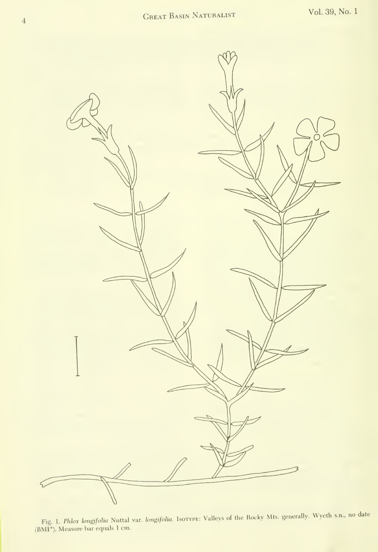

Fig. 1. Phlox hngifolia Nuttal var. longifolia. Isotvpe: Valleys of the Rocky Mts. generally. Wyeth s.n., no date (BMr). Measure bar equals <sup>1</sup> cm.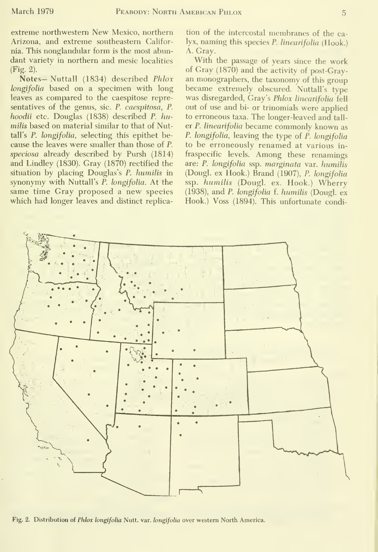extreme northwestern New Mexico, northern Arizona, and extreme southeastern California. This nonglandular form is the most abundant variety in northern and mesic localities (Fig. 2).

Notes- Nuttall (1834) described Phlox longifolia based on a specimen with long leaves as compared to the caespitose representatives of the genus, sic. P. caespitosa, P. hoodii etc. Douglas (1838) described P. humilis based on material similar to that of Nuttall's P. longifolia, selecting this epithet because the leaves were smaller than those of P. speciosa already described by Pursh (1814) and Lindley (1830). Gray (1870) rectified the situation by placing Douglas's P. humilis in synonymy with Nuttall's P. longifolia. At the same time Gray proposed a new species which had longer leaves and distinct replica-

tion of the intercostal membranes of the calyx, naming this species P. linearifolia (Hook.) A. Gray.

With the passage of years since the work of Gray (1870) and the activity of post-Gray an monographers, the taxonomy of this group became extremely obscured. Nuttall's type was disregarded, Gray's Phlox linearifolia fell out of use and bi- or trinomials were applied to erroneous taxa. The longer-leaved and tall er P. linearifolia became commonly known as P. longifolia, leaving the type of P. longifolia to be erroneously renamed at various in fraspecific levels. Among these renamings are: P. longifolia ssp. marginata var. humilis (Dougl. ex Hook.) Brand (1907), P. longifolia ssp. humilis (Dougl. ex. Hook.) Wherry (1938), and P. longifolia f. humilis (Dougl. ex Hook.) Voss (1894). This unfortunate condi-



Fig. 2. Distribution of Phlox longifolia Nutt. var. longifolia over western North America.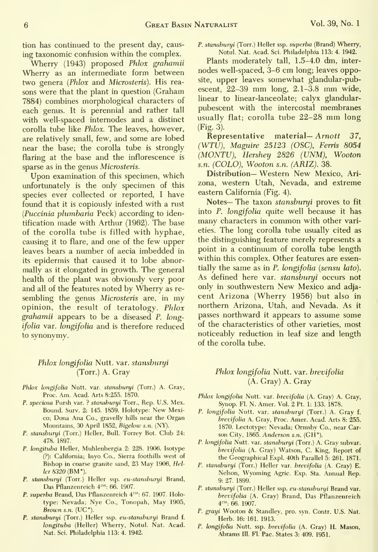tion has continued to the present day, caus ing taxonomic confusion within the complex.

Wherry (1943) proposed Phlox grahamii Wherry as an intermediate form between two genera (Phlox and Microsteris). His rea sons were that the plant in question (Graham 7884) combines morphological characters of each genus. It is perennial and rather tall with well-spaced intemodes and a distinct corolla tube like Phlox. The leaves, however, are relatively small, few, and some are lobed near the base; the corolla tube is strongly flaring at the base and the inflorescence is sparse as in the genus Microsteris.

Upon examination of this specimen, which unfortunately is the only specimen of this species ever collected or reported, <sup>I</sup> have found that it is copiously infested with a rust (Puccinia plumbaria Peck) according to identification made with Arthur (1962). The base of the corolla tube is filled with hyphae, causing it to flare, and one of the few upper leaves bears a number of aecia imbedded in its epidermis that caused it to lobe abnormally as it elongated in growth. The general health of the plant was obviously very poor and all of the features noted by Wherry as re sembling the genus Microsteris are, in my opinion, the result of teratology. Phlox grahamii appears to be a diseased P. longifolia var. longifolia and is therefore reduced to synonymy.

#### Phlox longifolia Nutt. var. stansburyi (Torr.) A. Gray

- Phlox longifolia Nutt. var. stansburyi (Torr.) A. Gray, Proc. Am. Acad. Arts 8:255. 1870.
- P. speciosa Pursh var. ? stansburyi Torr., Rep. U.S. Mex. Bound. Surv. 2: 145. 1859. Holotype: New Mexico; Dona Ana Co., gravelly hills near the Organ Mountains, 30 April 1852, Bigelow s.n. (NY).
- P. stansburyi (Torr.) Heller, Bull. Torrey Bot. Club 24: 478. 1897.
- P. longituba Heller, Muhlenbergia 2: 228. 1906. Isotype (?): California; Inyo Co., Sierra foothills west of Bishop in coarse granite sand, 23 May 1906, Heller 8320 (BM°).
- P. stansburyi (Torr.) Heller ssp. eu-stansburyi Brand, Das Pflanzenreich 4<sup>250</sup>: 66. 1907.
- P. superba Brand, Das Pflanzenreich 4<sup>250</sup>: 67. 1907. Holotype: Nevada; Nye Co., Tonopah, May 1905, Brown s.n.  $(UC^{\circ})$
- P. stansburyi (Torr.) Heller ssp. eu-stansburyi Brand f. longituba (Heller) Wherry, Notul. Nat. Acad. Nat. Sci. Philadelphia 113: 4. 1942.

P. stansburyi (Torr.) Heller ssp. superba (Brand) Wherry, Notul. Nat. Acad. Sci. Philadelphia 113: 4. 1942.

Plants moderately tall, 1.5-4.0 dm, inter nodes well-spaced, 3-6 cm long; leaves opposite, upper leaves somewhat glandular-pubescent, 22-39 mm long, 2.1-3.8 mm wide, linear to linear-lanceolate; calyx glandular pubescent with the intercostal membranes usually flat; corolla tube 22-28 mm long (Fig. 3).

 $Representative material - Anott 37$ , (WTU), Maguire 25123 (OSC), Ferris 8054 (MONTU), Hershey 2826 (UNM), Wooton s.n. (COLO), Wooton s.n. (ARIZ). 38.

Distribution— Western New Mexico, Ari zona, western Utah, Nevada, and extreme eastern California (Fig. 4).

Notes— The taxon stansburyi proves to fit into P. longifolia quite well because it has many characters in common with other varieties. The long corolla tube usually cited as the distinguishing feature merely represents a point in a continuum of corolla tube length within this complex. Other features are essentially the same as in  $P$ . longifolia (sensu lato). As defined here var. stansburyi occurs not only in southwestern New Mexico and adja cent Arizona (Wherry 1956) but also in northern Arizona, Utah, and Nevada. As it passes northward it appears to assume some of the characteristics of other varieties, most noticeably reduction in leaf size and length of the corolla tube.

#### Phlox longifolia Nutt. var. brevifolia (A. Gray) A. Gray

- Phlox longifolia Nutt. var. brevifolia (A. Grav) A. Gray, Synop. Fl. N. Amer. Vol. 2 Pt. 1: 133. 1878.
- P. longifolia Nutt. var. stansburyi (Torr.) A. Gray f. brevifolia A. Gray, Proc. Amer. Acad. Arts 8: 255. 1870. Lectotype: Nevada; Ormsby Co., near Carson City, 1865. Anderson s.n. (GH<sup>°</sup>).
- P. longifolia Nutt. var. stansburyi (Torr.) A. Gray subvar. brevifolia (A. Gray) Watson, C. King, Report of the Geographical Expl. 40th Parallel 5: 261. 1871.
- P. stansburyi (Torr.) Heller var. brevifolia (A. Gray) E. Nelson, Wyoming Agric. Exp. Sta. Annual Rep. 9: 27. 1899.'
- P. stansburyi (Torr.) Heller ssp. eu-stansburyi Brand var. brevifolia (A. Gray) Brand, Das Pflanzenreich 4"": 66. 1907.
- P. grayi Wooton & Standley, pro. syn. Contr. U.S. Nat. Herb. 16: 161. 1913.
- P. longifolia Nutt. ssp. brevifolia (A. Gray) H. Mason, Abrams 111. Fl. Pac. States 3: 409. 1951.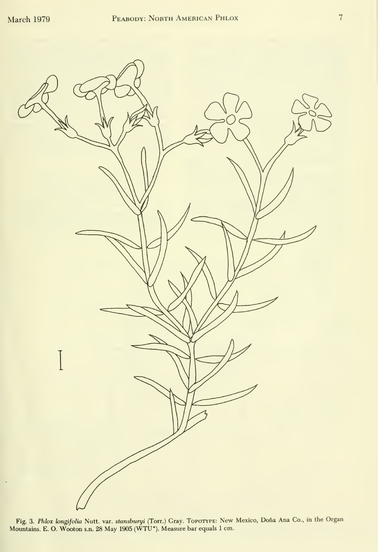

Fig. 3. *Phlox longifolia* Nutt. var. s*tansburyi* (Torr.) Gray. Торотүре: New Mexico, Doña Ana Co., in the Organ<br>Mountains. E. O. Wooton s.n. 28 May 1905 (WTU°). Measure bar equals 1 cm.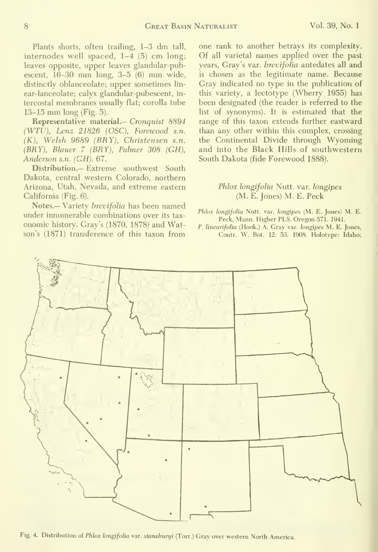Plants shorts, often trailing, 1-3 dm tall, internodes well spaced, 1-4 (5) cm long; leaves opposite, upper leaves glandular-pubescent, 16-30 mm long, 3-5 (6) mm wide, distinctly oblanceolate; upper sometimes lin ear-lanceolate; calyx glandular-pubescent, in tercostal membranes usually flat; corolla tube 13-15 mm long (Fig. 5).

Representative material.— Cronquist 8894 (WTU), Lenz 21826 (OSC), Forewood s.n. (K), Welsh 9689 (BRY), Christensen s.n. (BRY), Blauer 7 (BRY), Palmer 308 (GH), Anderson s.n. (GH). 67.

Distribution.— Extreme southwest South Dakota, central western Colorado, northern Arizona, Utah, Nevada, and extreme eastern California (Fig. 6).

Notes.— Variety brevifolia has been named under innumerable combinations over its tax onomic history. Gray's (1870, 1878) and Watson's (1871) transference of this taxon from one rank to another betrays its complexity. Of all varietal names applied over the past years, Gray's var. brevifolia antedates all and is chosen as the legitimate name. Because Gray indicated no type in the publication of this variety, a lectotype (Wherry 1955) has been designated (the reader is referred to the list of synonyms). It is estimated that the range of this taxon extends further eastward than any other within this complex, crossing the Continental Divide through Wyoming and into the Black Hills of southwestern South Dakota (fide Forewood 1888).

#### Phlox longifolia Nutt. var. longipes (M. E. Jones) M. E. Peck

- Phlox longifolia Nutt. var. longipes (M. E. Jones) M. E. Peck, Mann. Higher PLS. Oregon 571. 1941.
- P. linearifolia (Hook.) A. Gray var. longipes M. E. Jones, Contr. W. Bot. 12: 53. 1908. Holotype: Idaho;



Fig. 4. Distribution of Phlox longifolia var. stanshuryi (Torr.) Gray over western North America.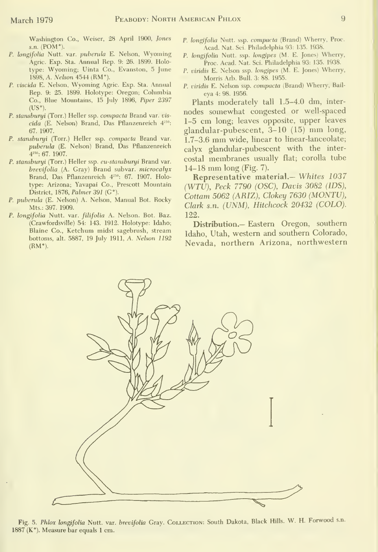$\Omega$ 

Washington Co., Weiser, 28 April 1900, Jones s.n. (POM°).

- P. longifolia Nutt. var. puberula E. Nelson, Wyoming Agric. Exp. Sta. Annual Rep. 9: 26. 1899. Holotype: Wyoming; Uinta Co., Evanston, 5 June 1898, A. Nelson 4544 (RM°).
- P. viscida E. Nelson, Wyoming Agric. Exp. Sta. Annual Rep. 9: 25. 1899. Holotype: Oregon; Columbia Co., Blue Mountains, 15 July 1896, Piper 2397  $(US°)$ .
- P. stansburyi (Torr.) Heller ssp. compacta Brand var. vis  $cida$  (E. Nelson) Brand, Das Pflanzenreich  $4^{250}$ : 67. 1907.
- P. stansburyi (Torr.) Heller ssp. compacta Brand var. puberula (E. Nelson) Brand, Das Pflanzenreich 4<sup>250</sup>: 67. 1907
- P. stansburyi (Torr.) Heller ssp. eu-stansburyi Brand var. brevifolia (A. Gray) Brand subvar. microcalyx Brand, Das Pflanzenreich 4<sup>250</sup>: 67. 1907. Holotype: Arizona; Yavapai Co., Prescott Mountain District, 1876, Palmer 391 ( $G^{\circ}$ ).
- P. puberula (E. Nelson) A. Nelson, Manual Bot. Rocky Mts.: 397. 1909.
- P. longifolia Nutt. var. filifolia A. Nelson. Bot. Baz. (Crawfordsville) 54: 143. 1912. Holotype: Idaho; Blaine Co., Ketchum midst sagebrush, stream bottoms, alt. 5887, 19 July 1911, A. Nelson 1192  $(RM<sup>°</sup>)$ .
- P. longifolia Nutt. ssp. compacta (Brand) Wherry, Proc. Acad. Nat. Sci. Philadelphia 93: 135. 1938.
- P. longifolia Nutt. ssp. longipes (M. E. Jones) Wherry, Proc. Acad. Nat. Sci. Philadelphia 93: 135. 1938.
- P. viridis E. Nelson ssp. longipes (M. E. Jones) Wherry, Morris Arb. Bull. 3: 88. 1955.
- P. viridis E. Nelson ssp. compacta (Brand) Wherry, Bail eya 4: 98. 1956.

Plants moderately tall 1.5-4.0 dm, inter nodes somewhat congested or well-spaced 1-5 cm long; leaves opposite, upper leaves glandular-pubescent, 3-10 (15) mm long, 1.7-3.6 mm wide, linear to linear-lanceolate; calyx glandular-pubescent with the inter costal membranes usually flat; corolla tube 14-18 mm long (Fig. 7).

Representative material.— Whites 1037 (WTU), Peck 7790 (OSC), Davis 3082 (IDS), Cottam 5062 (ARIZ), Clokey 7630 (MONTU), Clark s.n. (UNM), Hitchcock 20432 (COLO). 122.

Distribution.- Eastern Oregon, southern Idaho, Utah, western and southern Colorado, Nevada, northern Arizona, northwestern



Fig. 5. Phlox longifolia Nutt. var. brevifolia Gray. COLLECTION: South Dakota, Black Hills. W. H. Forwood s.n. 1887 ( $K^{\circ}$ ). Measure bar equals 1 cm.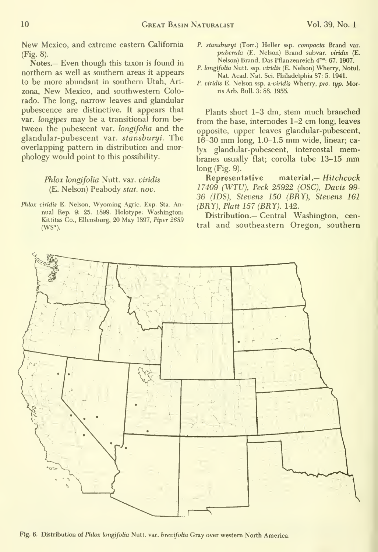New Mexico, and extreme eastern California (Fig. 8).

Notes.- Even though this taxon is found in northern as well as southern areas it appears to be more abundant in southern Utah, Ari zona, New Mexico, and southwestern Colorado. The long, narrow leaves and glandular pubescence are distinctive. It appears that var. longipes may be a transitional form be tween the pubescent var. longifolia and the glandular-pubescent var. stansburyi. The overlapping pattern in distribution and morphology would point to this possibility.

#### Phlox longifolia Nutt. var. viridis (E. Nelson) Peabody stat. nov.

Phlox viridis E. Nelson, Wyoming Agric. Exp. Sta. Annual Rep. 9: 25. 1899. Holotype: Washington; Kittitas Co., Ellensburg, 20 May 1897, Piper 2689  $(WS<sup>o</sup>).$ 

- P. stansburyi (Torr.) Heller ssp. compacta Brand var. puberula (E. Nelson) Brand subvar. viridis (E. Nelson) Brand, Das Pflanzenreich 4<sup>250</sup>: 67. 1907.
- P. longifolia Nutt. ssp. viridis (E. Nelson) Wherry, Notul. Nat. Acad. Nat. Sci. Philadelphia 87: 5. 1941.
- P. viridis E. Nelson ssp. a-viridis Wherry, pro. typ. Morris Arb. Bull. 3: 88. 1955.

Plants short 1-3 dm, stem much branched from the base, internodes 1-2 cm long; leaves opposite, upper leaves glandular-pubescent, 16-30 mm long, 1.0-1.5 mm wide, linear; calyx glandular-pubescent, intercostal membranes usually flat; corolla tube 13-15 mm long (Fig. 9).

Representative material.- Hitchcock 17409 (WTU), Peck 25922 (OSC), Davis 99- 36 (IDS), Stevens 150 (BRY), Stevens 161 (BRY), Piatt 157 (BRY). 142.

Distribution.— Central Washington, central and southeastern Oregon, southern



Fig. 6. Distribution of Phlox longifolia Nutt. var. brevifolia Gray over western North America.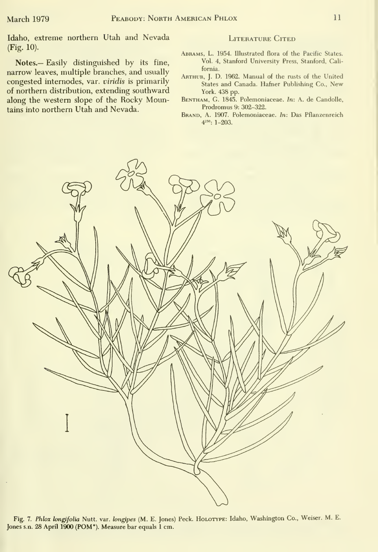Idaho, extreme northern Utah and Nevada (Fig. 10).

Notes.— Easily distinguished by its fine, narrow leaves, multiple branches, and usually congested intemodes, var. viridis is primarily of northern distribution, extending southward along the western slope of the Rocky Mountains into northern Utah and Nevada.

#### LITERATURE CITED

- Abrams, L. 1954. Illustrated flora of the Pacific States. Vol. 4, Stanford University Press, Stanford, California.
- Arthur, J. D. 1962. Manual of the rusts of the United States and Canada. Hafner Publishing Co., New York. 438 pp.
- BENTHAM, G. 1845. Polemoniaceae. In: A. de Candolle, Prodromus 9:302-322.
- Brand, A. 1907. Polemoniaceae. In: Das Pflanzenreich  $4^{250}$ : 1-203.



Fig. 7. Phlox longifolia Nutt. var. longipes (M. E. Jones) Peck. HoLOTYPE: Idaho, Washington Co., Weiser. M. E. Jones s.n. 28 April 1900 (POM\*). Measure bar equals <sup>1</sup>cm.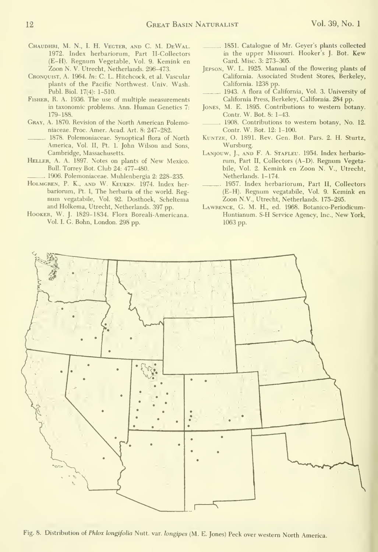- CHAUDHRI, M. N., I. H. VEGTER, AND C. M. DEWAL. 1972. Index herbariorum, Part Il-Collectors (E-H). Regnum Vegetable, Vol. 9. Kemink en Zoon N. V. Utrecht, Netherlands. 296-473.
- Cronquist, a. 1964. In: C. L. Hitchcock, et al. Vascular plants of the Pacific Northwest. Univ. Wash. Publ. Biol. 17(4): 1-510.
- Fisher, R. A. 1936. The use of multiple measurements in taxonomic problems. Ann. Human Genetics 7: 179-188.
- Gray, A. 1870. Revision of the North American Polemoniaceae. Proc. Amer. Acad. Art. 8: 247-282.
- 1878. Polemoniaceae. Synoptical flora of North America, Vol. II, Pt. 1. John Wilson and Sons, Cambridge, Massachusetts.
- Heller, A. A. 1897. Notes on plants of New Mexico. Bull. Torrey Bot. Club 24: 477-480.
- 1906. Polemoniaceae. Muhlenbergia 2: 228-235.
- Holmgren, P. K., and W. Keuken. 1974. Index her bariorum, Pt. I, The herbaria of the world. Reg num vegatabile. Vol. 92. Dosthoek, Scheltema and Holkema, Utrecht, Netherlands. 397 pp.
- Hooker, W. J. 1829-1834. Flora Boreali-Americana. Vol. I. G. Bohn, London. 298 pp.
- 1851. Catalogue of Mr. Geyer's plants collected in the upper Missouri. Hooker's J. Bot. Kew Card. Misc. 3: 273-305.
- Jepson, W. L. 1925. Manual of the flowering plants of California. Associated Student Stores, Berkeley, California. 1238 pp.
- 1943. A flora of California, Vol. 3. University of California Press, Berkeley, California. 284 pp.
- Jones, M. E. 1895. Contributions to western botany. Contr. W. Bot. 8: 1-43.
- 1908. Contributions to western botany, No. 12. Contr. W. Bot. 12: 1-100.
- Kuntze, O. 1891. Rev. Gen. Bot. Pars. 2. H. Sturtz, Wursburg.
- LANJOUW, J., AND F. A. STAFLEU. 1954. Index herbariorum. Part II, Collectors (A-D). Regnum Vegetabile, Vol. 2. Kemink en Zoon N. V., Utrecht, Netherlands. 1-174.
- 1957. Index herbariorum. Part II, Collectors (E-H). Regnum vegatabile, Vol. 9. Kemink en Zoon N.V., Utrecht, Netherlands. 175-295.
- Lawrence, G. M. H., ed. 1968. Botanico-Periodicum- Huntianum. S-H Service Agency, Inc., New York, 1063 pp.



Fig. 8. Distribution of Phlox longifolia Nutt. var. longipes (M. E. Jones) Peck over western North America.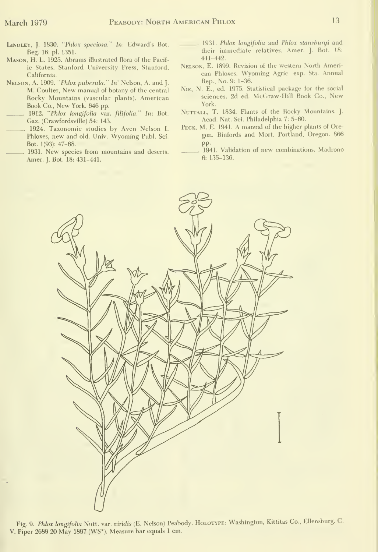- LiNDLEY, J. 1830. "Phlox speciosa." In: Edward's Bot. Reg. 16: pl. 1351.
- Mason, H. L. 1925. Abrams illustrated flora of the Pacific States. Stanford University Press, Stanford, California.
- Nelson, A. 1909. "Phlox puberula." In' Nelson, A. and J. M. Coulter, New manual of botany of the central Rocky Mountains (vascular plants). American Book Co., New York. <sup>646</sup> pp.
- 1912. "Phlox longifolia var. filifolia." In: Bot. Gaz. (Crawfordsville) 54: 143.
- 1924. Taxonomic studies by Aven Nelson I. Phloxes, new and old. Univ. Wyoming Publ. Sci. Bot. 1(93): 47-68.
- 1931. New species from mountains and deserts. Amer. J. Bot. 18: 431-441.
- 1931. Phlox longifolia and Phlox stansburyi and their immediate relatives. Amer. J. Bot. 18: 441-442.
- Nelson, E. 1899. Revision of the western North American Phloxes. Wyoming Agric. exp. Sta. Annual Rep., No. 9: 1-36.
- NiE, N. E., ed. 1975. Statistical package for the social sciences. 2d ed. McGraw-Hill Book Co., New York.
- NuTTALL, T. 1834. Plants of the Rocky Mountains. J. Acad. Nat. Sci. Philadelphia 7: 5-60.
- Peck, M. E. 1941. A manual of the higher plants of Oregon. Binfords and Mort, Portland, Oregon. 866 pp.
	- 1941. Validation of new combinations. Madrono 6: 135-136.



Fig. 9. Phlox longifolia Nutt. var. viridis (E. Nelson) Peabody. Holotype: Washington, Kittitas Co., Ellensburg. C. V. Piper 2689 20 May 1897 (WS°). Measure bar equals <sup>1</sup> cm.